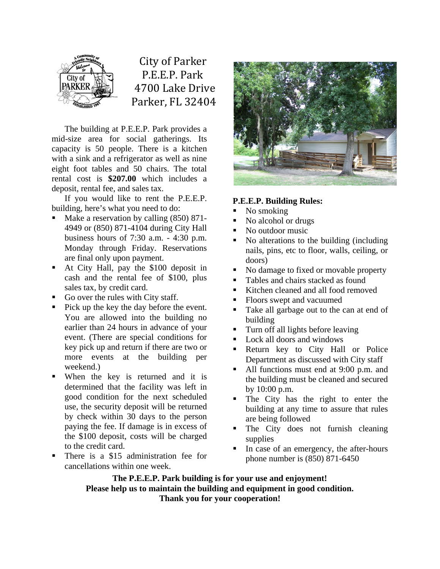

 City of Parker P.E.E.P. Park 4700 Lake Drive Parker, FL 32404

The building at P.E.E.P. Park provides a mid-size area for social gatherings. Its capacity is 50 people. There is a kitchen with a sink and a refrigerator as well as nine eight foot tables and 50 chairs. The total rental cost is **\$207.00** which includes a deposit, rental fee, and sales tax.

If you would like to rent the P.E.E.P. building, here's what you need to do:

- Make a reservation by calling (850) 871- 4949 or (850) 871-4104 during City Hall business hours of 7:30 a.m. - 4:30 p.m. Monday through Friday. Reservations are final only upon payment.
- At City Hall, pay the \$100 deposit in cash and the rental fee of \$100, plus sales tax, by credit card.
- Go over the rules with City staff.
- Pick up the key the day before the event. You are allowed into the building no earlier than 24 hours in advance of your event. (There are special conditions for key pick up and return if there are two or more events at the building per weekend.)
- When the key is returned and it is determined that the facility was left in good condition for the next scheduled use, the security deposit will be returned by check within 30 days to the person paying the fee. If damage is in excess of the \$100 deposit, costs will be charged to the credit card.
- There is a \$15 administration fee for cancellations within one week.



## **P.E.E.P. Building Rules:**

- $\blacksquare$  No smoking
- No alcohol or drugs
- No outdoor music
- No alterations to the building (including nails, pins, etc to floor, walls, ceiling, or doors)
- No damage to fixed or movable property
- Tables and chairs stacked as found
- Kitchen cleaned and all food removed
- Floors swept and vacuumed
- Take all garbage out to the can at end of building
- Turn off all lights before leaving
- **Lock all doors and windows**
- Return key to City Hall or Police Department as discussed with City staff
- All functions must end at 9:00 p.m. and the building must be cleaned and secured by 10:00 p.m.
- The City has the right to enter the building at any time to assure that rules are being followed
- The City does not furnish cleaning supplies
- In case of an emergency, the after-hours phone number is (850) 871-6450

**The P.E.E.P. Park building is for your use and enjoyment! Please help us to maintain the building and equipment in good condition. Thank you for your cooperation!**